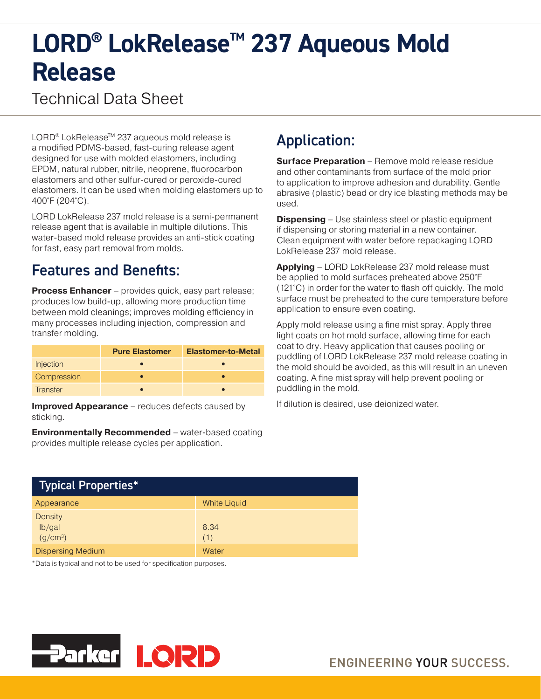# LORD<sup>®</sup> LokRelease<sup>™</sup> 237 Aqueous Mold **Release**

# Technical Data Sheet

LORD<sup>®</sup> LokRelease<sup>™</sup> 237 aqueous mold release is a modified PDMS-based, fast-curing release agent designed for use with molded elastomers, including EPDM, natural rubber, nitrile, neoprene, fluorocarbon elastomers and other sulfur-cured or peroxide-cured elastomers. It can be used when molding elastomers up to 400°F (204°C).

LORD LokRelease 237 mold release is a semi-permanent release agent that is available in multiple dilutions. This water-based mold release provides an anti-stick coating for fast, easy part removal from molds.

### Features and Benefits:

**Process Enhancer** – provides quick, easy part release; produces low build-up, allowing more production time between mold cleanings; improves molding efficiency in many processes including injection, compression and transfer molding.

|             | <b>Pure Elastomer</b> | <b>Elastomer-to-Metal</b> |
|-------------|-----------------------|---------------------------|
| Injection   |                       |                           |
| Compression |                       |                           |
| Transfer    |                       |                           |

**Improved Appearance** – reduces defects caused by sticking.

**Environmentally Recommended** – water-based coating provides multiple release cycles per application.

# Application:

**Surface Preparation** – Remove mold release residue and other contaminants from surface of the mold prior to application to improve adhesion and durability. Gentle abrasive (plastic) bead or dry ice blasting methods may be used.

**Dispensing** – Use stainless steel or plastic equipment if dispensing or storing material in a new container. Clean equipment with water before repackaging LORD LokRelease 237 mold release.

**Applying** – LORD LokRelease 237 mold release must be applied to mold surfaces preheated above 250°F (121°C) in order for the water to flash off quickly. The mold surface must be preheated to the cure temperature before application to ensure even coating.

Apply mold release using a fine mist spray. Apply three light coats on hot mold surface, allowing time for each coat to dry. Heavy application that causes pooling or puddling of LORD LokRelease 237 mold release coating in the mold should be avoided, as this will result in an uneven coating. A fine mist spray will help prevent pooling or puddling in the mold.

If dilution is desired, use deionized water.

| <b>Typical Properties*</b>                       |                     |  |
|--------------------------------------------------|---------------------|--|
| Appearance                                       | <b>White Liquid</b> |  |
| <b>Density</b><br>lb/gal<br>(g/cm <sup>3</sup> ) | 8.34<br>(1)         |  |
| <b>Dispersing Medium</b>                         | Water               |  |

\*Data is typical and not to be used for specification purposes.